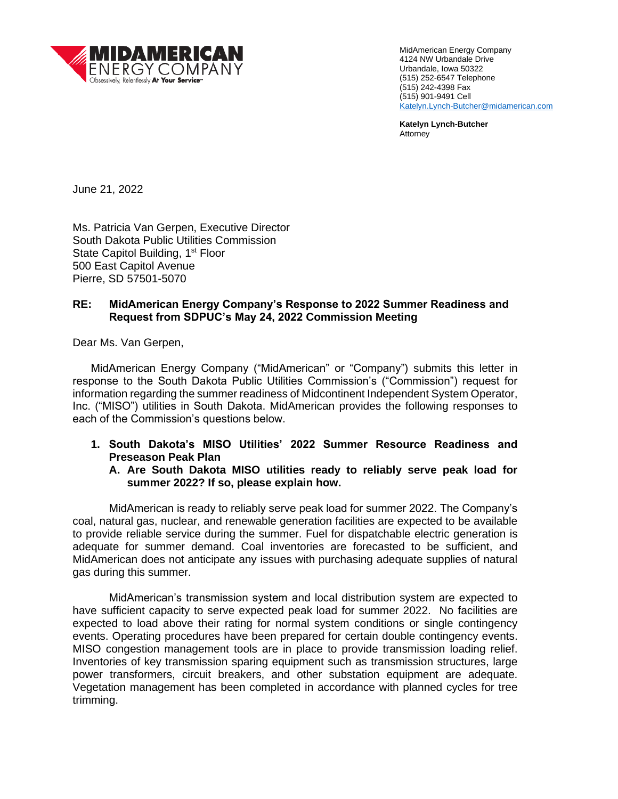

MidAmerican Energy Company 4124 NW Urbandale Drive Urbandale, Iowa 50322 (515) 252-6547 Telephone (515) 242-4398 Fax (515) 901-9491 Cell Katelyn.Lynch-Butcher@midamerican.com

**Katelyn Lynch-Butcher** Attorney

June 21, 2022

Ms. Patricia Van Gerpen, Executive Director South Dakota Public Utilities Commission State Capitol Building, 1<sup>st</sup> Floor 500 East Capitol Avenue Pierre, SD 57501-5070

# **RE: MidAmerican Energy Company's Response to 2022 Summer Readiness and Request from SDPUC's May 24, 2022 Commission Meeting**

Dear Ms. Van Gerpen,

MidAmerican Energy Company ("MidAmerican" or "Company") submits this letter in response to the South Dakota Public Utilities Commission's ("Commission") request for information regarding the summer readiness of Midcontinent Independent System Operator, Inc. ("MISO") utilities in South Dakota. MidAmerican provides the following responses to each of the Commission's questions below.

- **1. South Dakota's MISO Utilities' 2022 Summer Resource Readiness and Preseason Peak Plan**
	- **A. Are South Dakota MISO utilities ready to reliably serve peak load for summer 2022? If so, please explain how.**

MidAmerican is ready to reliably serve peak load for summer 2022. The Company's coal, natural gas, nuclear, and renewable generation facilities are expected to be available to provide reliable service during the summer. Fuel for dispatchable electric generation is adequate for summer demand. Coal inventories are forecasted to be sufficient, and MidAmerican does not anticipate any issues with purchasing adequate supplies of natural gas during this summer.

MidAmerican's transmission system and local distribution system are expected to have sufficient capacity to serve expected peak load for summer 2022. No facilities are expected to load above their rating for normal system conditions or single contingency events. Operating procedures have been prepared for certain double contingency events. MISO congestion management tools are in place to provide transmission loading relief. Inventories of key transmission sparing equipment such as transmission structures, large power transformers, circuit breakers, and other substation equipment are adequate. Vegetation management has been completed in accordance with planned cycles for tree trimming.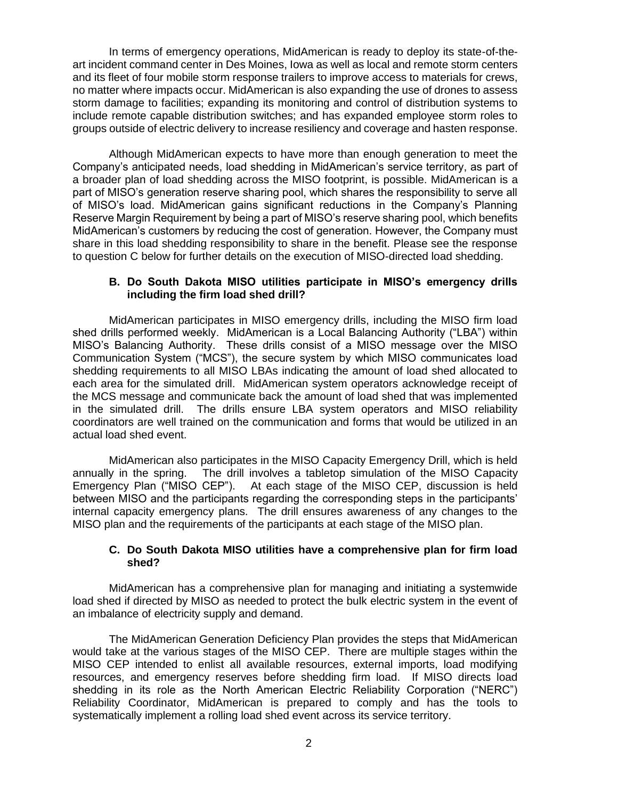In terms of emergency operations, MidAmerican is ready to deploy its state-of-theart incident command center in Des Moines, Iowa as well as local and remote storm centers and its fleet of four mobile storm response trailers to improve access to materials for crews, no matter where impacts occur. MidAmerican is also expanding the use of drones to assess storm damage to facilities; expanding its monitoring and control of distribution systems to include remote capable distribution switches; and has expanded employee storm roles to groups outside of electric delivery to increase resiliency and coverage and hasten response.

Although MidAmerican expects to have more than enough generation to meet the Company's anticipated needs, load shedding in MidAmerican's service territory, as part of a broader plan of load shedding across the MISO footprint, is possible. MidAmerican is a part of MISO's generation reserve sharing pool, which shares the responsibility to serve all of MISO's load. MidAmerican gains significant reductions in the Company's Planning Reserve Margin Requirement by being a part of MISO's reserve sharing pool, which benefits MidAmerican's customers by reducing the cost of generation. However, the Company must share in this load shedding responsibility to share in the benefit. Please see the response to question C below for further details on the execution of MISO-directed load shedding.

### **B. Do South Dakota MISO utilities participate in MISO's emergency drills including the firm load shed drill?**

MidAmerican participates in MISO emergency drills, including the MISO firm load shed drills performed weekly. MidAmerican is a Local Balancing Authority ("LBA") within MISO's Balancing Authority. These drills consist of a MISO message over the MISO Communication System ("MCS"), the secure system by which MISO communicates load shedding requirements to all MISO LBAs indicating the amount of load shed allocated to each area for the simulated drill. MidAmerican system operators acknowledge receipt of the MCS message and communicate back the amount of load shed that was implemented in the simulated drill. The drills ensure LBA system operators and MISO reliability coordinators are well trained on the communication and forms that would be utilized in an actual load shed event.

MidAmerican also participates in the MISO Capacity Emergency Drill, which is held annually in the spring. The drill involves a tabletop simulation of the MISO Capacity Emergency Plan ("MISO CEP"). At each stage of the MISO CEP, discussion is held between MISO and the participants regarding the corresponding steps in the participants' internal capacity emergency plans. The drill ensures awareness of any changes to the MISO plan and the requirements of the participants at each stage of the MISO plan.

#### **C. Do South Dakota MISO utilities have a comprehensive plan for firm load shed?**

MidAmerican has a comprehensive plan for managing and initiating a systemwide load shed if directed by MISO as needed to protect the bulk electric system in the event of an imbalance of electricity supply and demand.

The MidAmerican Generation Deficiency Plan provides the steps that MidAmerican would take at the various stages of the MISO CEP. There are multiple stages within the MISO CEP intended to enlist all available resources, external imports, load modifying resources, and emergency reserves before shedding firm load. If MISO directs load shedding in its role as the North American Electric Reliability Corporation ("NERC") Reliability Coordinator, MidAmerican is prepared to comply and has the tools to systematically implement a rolling load shed event across its service territory.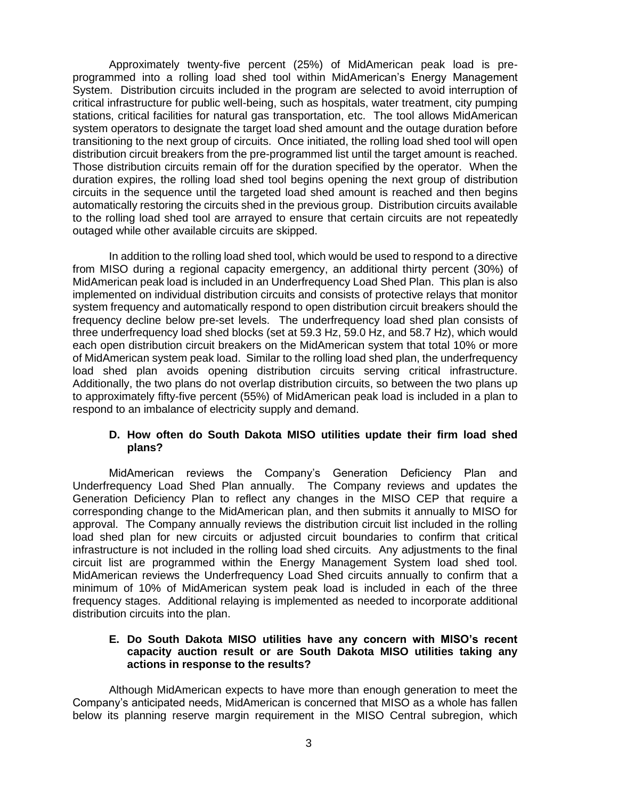Approximately twenty-five percent (25%) of MidAmerican peak load is preprogrammed into a rolling load shed tool within MidAmerican's Energy Management System. Distribution circuits included in the program are selected to avoid interruption of critical infrastructure for public well-being, such as hospitals, water treatment, city pumping stations, critical facilities for natural gas transportation, etc. The tool allows MidAmerican system operators to designate the target load shed amount and the outage duration before transitioning to the next group of circuits. Once initiated, the rolling load shed tool will open distribution circuit breakers from the pre-programmed list until the target amount is reached. Those distribution circuits remain off for the duration specified by the operator. When the duration expires, the rolling load shed tool begins opening the next group of distribution circuits in the sequence until the targeted load shed amount is reached and then begins automatically restoring the circuits shed in the previous group. Distribution circuits available to the rolling load shed tool are arrayed to ensure that certain circuits are not repeatedly outaged while other available circuits are skipped.

In addition to the rolling load shed tool, which would be used to respond to a directive from MISO during a regional capacity emergency, an additional thirty percent (30%) of MidAmerican peak load is included in an Underfrequency Load Shed Plan. This plan is also implemented on individual distribution circuits and consists of protective relays that monitor system frequency and automatically respond to open distribution circuit breakers should the frequency decline below pre-set levels. The underfrequency load shed plan consists of three underfrequency load shed blocks (set at 59.3 Hz, 59.0 Hz, and 58.7 Hz), which would each open distribution circuit breakers on the MidAmerican system that total 10% or more of MidAmerican system peak load. Similar to the rolling load shed plan, the underfrequency load shed plan avoids opening distribution circuits serving critical infrastructure. Additionally, the two plans do not overlap distribution circuits, so between the two plans up to approximately fifty-five percent (55%) of MidAmerican peak load is included in a plan to respond to an imbalance of electricity supply and demand.

## **D. How often do South Dakota MISO utilities update their firm load shed plans?**

MidAmerican reviews the Company's Generation Deficiency Plan and Underfrequency Load Shed Plan annually. The Company reviews and updates the Generation Deficiency Plan to reflect any changes in the MISO CEP that require a corresponding change to the MidAmerican plan, and then submits it annually to MISO for approval. The Company annually reviews the distribution circuit list included in the rolling load shed plan for new circuits or adjusted circuit boundaries to confirm that critical infrastructure is not included in the rolling load shed circuits. Any adjustments to the final circuit list are programmed within the Energy Management System load shed tool. MidAmerican reviews the Underfrequency Load Shed circuits annually to confirm that a minimum of 10% of MidAmerican system peak load is included in each of the three frequency stages. Additional relaying is implemented as needed to incorporate additional distribution circuits into the plan.

### **E. Do South Dakota MISO utilities have any concern with MISO's recent capacity auction result or are South Dakota MISO utilities taking any actions in response to the results?**

Although MidAmerican expects to have more than enough generation to meet the Company's anticipated needs, MidAmerican is concerned that MISO as a whole has fallen below its planning reserve margin requirement in the MISO Central subregion, which